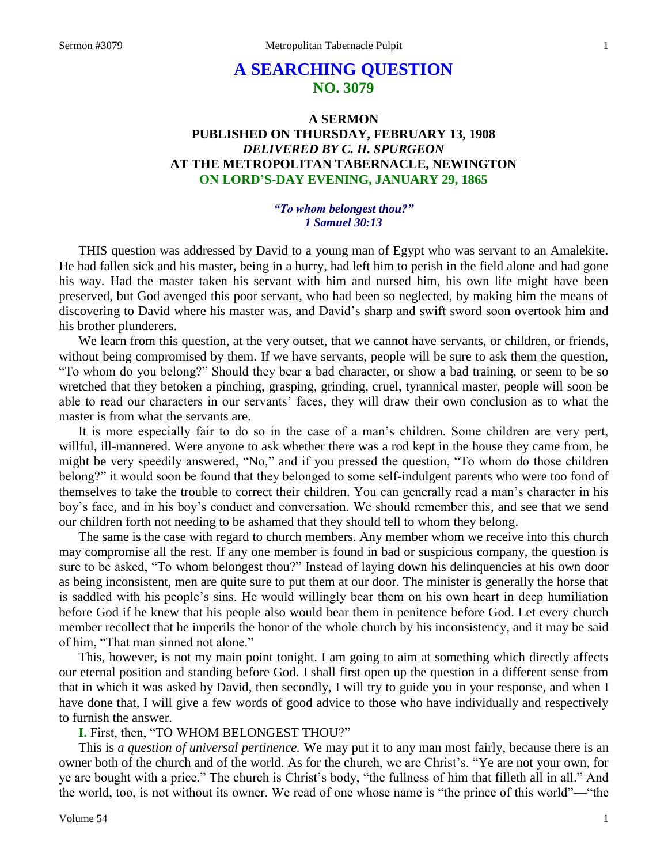# **A SEARCHING QUESTION NO. 3079**

# **A SERMON PUBLISHED ON THURSDAY, FEBRUARY 13, 1908** *DELIVERED BY C. H. SPURGEON* **AT THE METROPOLITAN TABERNACLE, NEWINGTON ON LORD'S-DAY EVENING, JANUARY 29, 1865**

### *"To whom belongest thou?" 1 Samuel 30:13*

THIS question was addressed by David to a young man of Egypt who was servant to an Amalekite. He had fallen sick and his master, being in a hurry, had left him to perish in the field alone and had gone his way. Had the master taken his servant with him and nursed him, his own life might have been preserved, but God avenged this poor servant, who had been so neglected, by making him the means of discovering to David where his master was, and David's sharp and swift sword soon overtook him and his brother plunderers.

We learn from this question, at the very outset, that we cannot have servants, or children, or friends, without being compromised by them. If we have servants, people will be sure to ask them the question, "To whom do you belong?" Should they bear a bad character, or show a bad training, or seem to be so wretched that they betoken a pinching, grasping, grinding, cruel, tyrannical master, people will soon be able to read our characters in our servants' faces, they will draw their own conclusion as to what the master is from what the servants are.

It is more especially fair to do so in the case of a man's children. Some children are very pert, willful, ill-mannered. Were anyone to ask whether there was a rod kept in the house they came from, he might be very speedily answered, "No," and if you pressed the question, "To whom do those children belong?" it would soon be found that they belonged to some self-indulgent parents who were too fond of themselves to take the trouble to correct their children. You can generally read a man's character in his boy's face, and in his boy's conduct and conversation. We should remember this, and see that we send our children forth not needing to be ashamed that they should tell to whom they belong.

The same is the case with regard to church members. Any member whom we receive into this church may compromise all the rest. If any one member is found in bad or suspicious company, the question is sure to be asked, "To whom belongest thou?" Instead of laying down his delinquencies at his own door as being inconsistent, men are quite sure to put them at our door. The minister is generally the horse that is saddled with his people's sins. He would willingly bear them on his own heart in deep humiliation before God if he knew that his people also would bear them in penitence before God. Let every church member recollect that he imperils the honor of the whole church by his inconsistency, and it may be said of him, "That man sinned not alone."

This, however, is not my main point tonight. I am going to aim at something which directly affects our eternal position and standing before God. I shall first open up the question in a different sense from that in which it was asked by David, then secondly, I will try to guide you in your response, and when I have done that, I will give a few words of good advice to those who have individually and respectively to furnish the answer.

**I.** First, then, "TO WHOM BELONGEST THOU?"

This is *a question of universal pertinence.* We may put it to any man most fairly, because there is an owner both of the church and of the world. As for the church, we are Christ's. "Ye are not your own, for ye are bought with a price." The church is Christ's body, "the fullness of him that filleth all in all." And the world, too, is not without its owner. We read of one whose name is "the prince of this world"—"the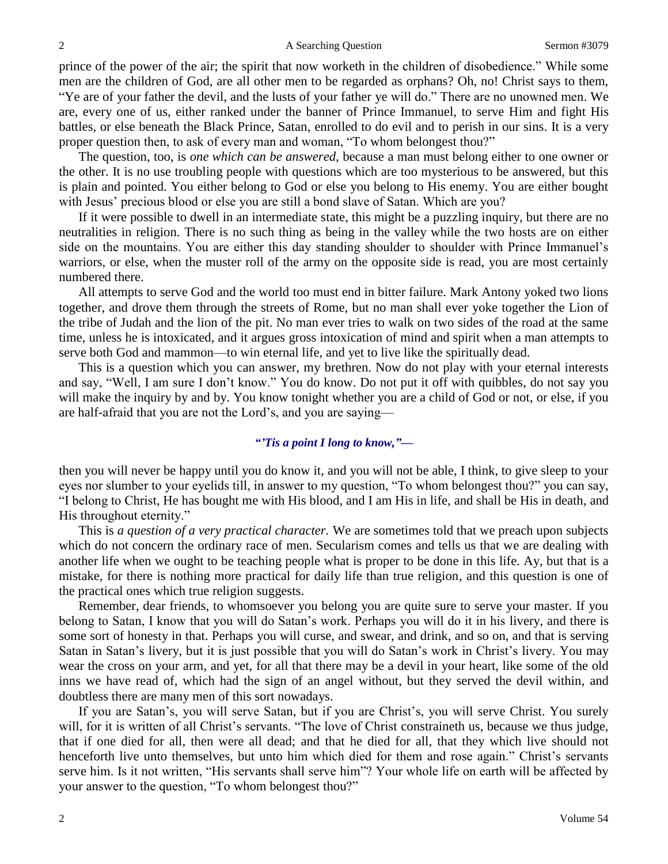prince of the power of the air; the spirit that now worketh in the children of disobedience." While some men are the children of God, are all other men to be regarded as orphans? Oh, no! Christ says to them, "Ye are of your father the devil, and the lusts of your father ye will do." There are no unowned men. We are, every one of us, either ranked under the banner of Prince Immanuel, to serve Him and fight His battles, or else beneath the Black Prince, Satan, enrolled to do evil and to perish in our sins. It is a very proper question then, to ask of every man and woman, "To whom belongest thou?"

The question, too, is *one which can be answered,* because a man must belong either to one owner or the other. It is no use troubling people with questions which are too mysterious to be answered, but this is plain and pointed. You either belong to God or else you belong to His enemy. You are either bought with Jesus' precious blood or else you are still a bond slave of Satan. Which are you?

If it were possible to dwell in an intermediate state, this might be a puzzling inquiry, but there are no neutralities in religion. There is no such thing as being in the valley while the two hosts are on either side on the mountains. You are either this day standing shoulder to shoulder with Prince Immanuel's warriors, or else, when the muster roll of the army on the opposite side is read, you are most certainly numbered there.

All attempts to serve God and the world too must end in bitter failure. Mark Antony yoked two lions together, and drove them through the streets of Rome, but no man shall ever yoke together the Lion of the tribe of Judah and the lion of the pit. No man ever tries to walk on two sides of the road at the same time, unless he is intoxicated, and it argues gross intoxication of mind and spirit when a man attempts to serve both God and mammon—to win eternal life, and yet to live like the spiritually dead.

This is a question which you can answer, my brethren. Now do not play with your eternal interests and say, "Well, I am sure I don't know." You do know. Do not put it off with quibbles, do not say you will make the inquiry by and by. You know tonight whether you are a child of God or not, or else, if you are half-afraid that you are not the Lord's, and you are saying—

## *"'Tis a point I long to know,"—*

then you will never be happy until you do know it, and you will not be able, I think, to give sleep to your eyes nor slumber to your eyelids till, in answer to my question, "To whom belongest thou?" you can say, "I belong to Christ, He has bought me with His blood, and I am His in life, and shall be His in death, and His throughout eternity."

This is *a question of a very practical character.* We are sometimes told that we preach upon subjects which do not concern the ordinary race of men. Secularism comes and tells us that we are dealing with another life when we ought to be teaching people what is proper to be done in this life. Ay, but that is a mistake, for there is nothing more practical for daily life than true religion, and this question is one of the practical ones which true religion suggests.

Remember, dear friends, to whomsoever you belong you are quite sure to serve your master. If you belong to Satan, I know that you will do Satan's work. Perhaps you will do it in his livery, and there is some sort of honesty in that. Perhaps you will curse, and swear, and drink, and so on, and that is serving Satan in Satan's livery, but it is just possible that you will do Satan's work in Christ's livery. You may wear the cross on your arm, and yet, for all that there may be a devil in your heart, like some of the old inns we have read of, which had the sign of an angel without, but they served the devil within, and doubtless there are many men of this sort nowadays.

If you are Satan's, you will serve Satan, but if you are Christ's, you will serve Christ. You surely will, for it is written of all Christ's servants. "The love of Christ constraineth us, because we thus judge, that if one died for all, then were all dead; and that he died for all, that they which live should not henceforth live unto themselves, but unto him which died for them and rose again." Christ's servants serve him. Is it not written, "His servants shall serve him"? Your whole life on earth will be affected by your answer to the question, "To whom belongest thou?"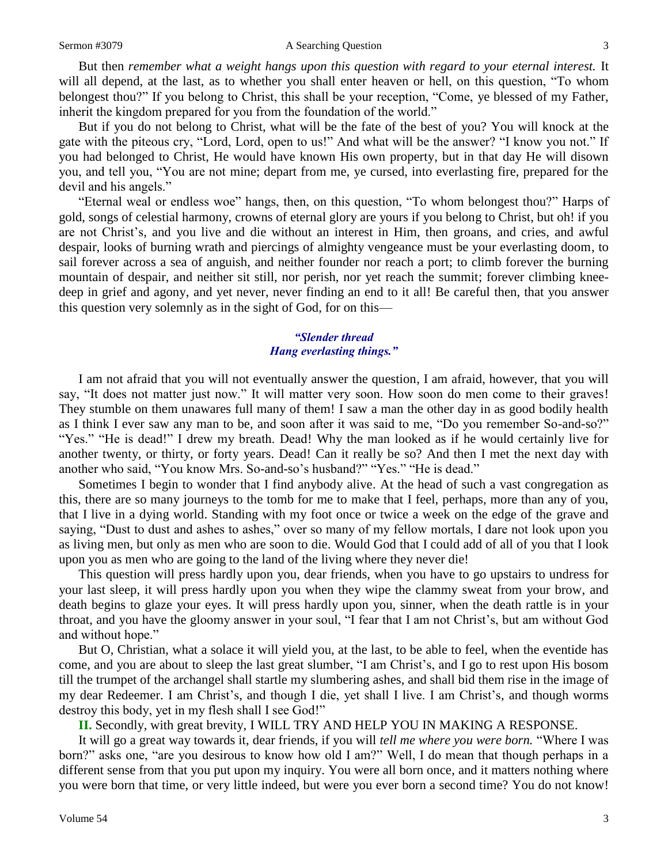#### Sermon #3079 **A Searching Question** 3

But then *remember what a weight hangs upon this question with regard to your eternal interest.* It will all depend, at the last, as to whether you shall enter heaven or hell, on this question, "To whom belongest thou?" If you belong to Christ, this shall be your reception, "Come, ye blessed of my Father, inherit the kingdom prepared for you from the foundation of the world."

But if you do not belong to Christ, what will be the fate of the best of you? You will knock at the gate with the piteous cry, "Lord, Lord, open to us!" And what will be the answer? "I know you not." If you had belonged to Christ, He would have known His own property, but in that day He will disown you, and tell you, "You are not mine; depart from me, ye cursed, into everlasting fire, prepared for the devil and his angels."

"Eternal weal or endless woe" hangs, then, on this question, "To whom belongest thou?" Harps of gold, songs of celestial harmony, crowns of eternal glory are yours if you belong to Christ, but oh! if you are not Christ's, and you live and die without an interest in Him, then groans, and cries, and awful despair, looks of burning wrath and piercings of almighty vengeance must be your everlasting doom, to sail forever across a sea of anguish, and neither founder nor reach a port; to climb forever the burning mountain of despair, and neither sit still, nor perish, nor yet reach the summit; forever climbing kneedeep in grief and agony, and yet never, never finding an end to it all! Be careful then, that you answer this question very solemnly as in the sight of God, for on this—

# *"Slender thread Hang everlasting things."*

I am not afraid that you will not eventually answer the question, I am afraid, however, that you will say, "It does not matter just now." It will matter very soon. How soon do men come to their graves! They stumble on them unawares full many of them! I saw a man the other day in as good bodily health as I think I ever saw any man to be, and soon after it was said to me, "Do you remember So-and-so?" "Yes." "He is dead!" I drew my breath. Dead! Why the man looked as if he would certainly live for another twenty, or thirty, or forty years. Dead! Can it really be so? And then I met the next day with another who said, "You know Mrs. So-and-so's husband?" "Yes." "He is dead."

Sometimes I begin to wonder that I find anybody alive. At the head of such a vast congregation as this, there are so many journeys to the tomb for me to make that I feel, perhaps, more than any of you, that I live in a dying world. Standing with my foot once or twice a week on the edge of the grave and saying, "Dust to dust and ashes to ashes," over so many of my fellow mortals, I dare not look upon you as living men, but only as men who are soon to die. Would God that I could add of all of you that I look upon you as men who are going to the land of the living where they never die!

This question will press hardly upon you, dear friends, when you have to go upstairs to undress for your last sleep, it will press hardly upon you when they wipe the clammy sweat from your brow, and death begins to glaze your eyes. It will press hardly upon you, sinner, when the death rattle is in your throat, and you have the gloomy answer in your soul, "I fear that I am not Christ's, but am without God and without hope."

But O, Christian, what a solace it will yield you, at the last, to be able to feel, when the eventide has come, and you are about to sleep the last great slumber, "I am Christ's, and I go to rest upon His bosom till the trumpet of the archangel shall startle my slumbering ashes, and shall bid them rise in the image of my dear Redeemer. I am Christ's, and though I die, yet shall I live. I am Christ's, and though worms destroy this body, yet in my flesh shall I see God!"

**II.** Secondly, with great brevity, I WILL TRY AND HELP YOU IN MAKING A RESPONSE.

It will go a great way towards it, dear friends, if you will *tell me where you were born.* "Where I was born?" asks one, "are you desirous to know how old I am?" Well, I do mean that though perhaps in a different sense from that you put upon my inquiry. You were all born once, and it matters nothing where you were born that time, or very little indeed, but were you ever born a second time? You do not know!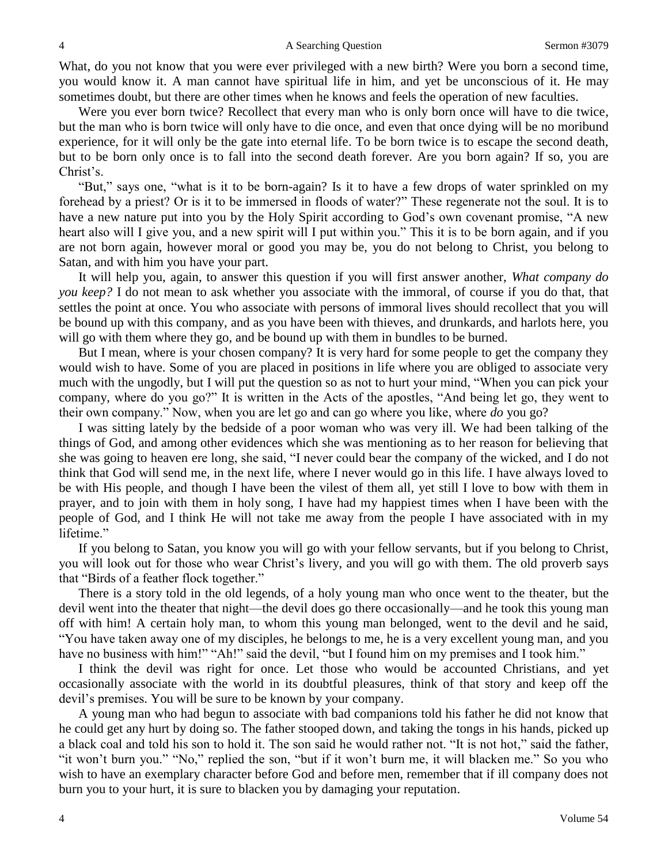What, do you not know that you were ever privileged with a new birth? Were you born a second time, you would know it. A man cannot have spiritual life in him, and yet be unconscious of it. He may sometimes doubt, but there are other times when he knows and feels the operation of new faculties.

Were you ever born twice? Recollect that every man who is only born once will have to die twice, but the man who is born twice will only have to die once, and even that once dying will be no moribund experience, for it will only be the gate into eternal life. To be born twice is to escape the second death, but to be born only once is to fall into the second death forever. Are you born again? If so, you are Christ's.

"But," says one, "what is it to be born-again? Is it to have a few drops of water sprinkled on my forehead by a priest? Or is it to be immersed in floods of water?" These regenerate not the soul. It is to have a new nature put into you by the Holy Spirit according to God's own covenant promise, "A new heart also will I give you, and a new spirit will I put within you." This it is to be born again, and if you are not born again, however moral or good you may be, you do not belong to Christ, you belong to Satan, and with him you have your part.

It will help you, again, to answer this question if you will first answer another, *What company do you keep?* I do not mean to ask whether you associate with the immoral, of course if you do that, that settles the point at once. You who associate with persons of immoral lives should recollect that you will be bound up with this company, and as you have been with thieves, and drunkards, and harlots here, you will go with them where they go, and be bound up with them in bundles to be burned.

But I mean, where is your chosen company? It is very hard for some people to get the company they would wish to have. Some of you are placed in positions in life where you are obliged to associate very much with the ungodly, but I will put the question so as not to hurt your mind, "When you can pick your company, where do you go?" It is written in the Acts of the apostles, "And being let go, they went to their own company." Now, when you are let go and can go where you like, where *do* you go?

I was sitting lately by the bedside of a poor woman who was very ill. We had been talking of the things of God, and among other evidences which she was mentioning as to her reason for believing that she was going to heaven ere long, she said, "I never could bear the company of the wicked, and I do not think that God will send me, in the next life, where I never would go in this life. I have always loved to be with His people, and though I have been the vilest of them all, yet still I love to bow with them in prayer, and to join with them in holy song, I have had my happiest times when I have been with the people of God, and I think He will not take me away from the people I have associated with in my lifetime."

If you belong to Satan, you know you will go with your fellow servants, but if you belong to Christ, you will look out for those who wear Christ's livery, and you will go with them. The old proverb says that "Birds of a feather flock together."

There is a story told in the old legends, of a holy young man who once went to the theater, but the devil went into the theater that night—the devil does go there occasionally—and he took this young man off with him! A certain holy man, to whom this young man belonged, went to the devil and he said, "You have taken away one of my disciples, he belongs to me, he is a very excellent young man, and you have no business with him!" "Ah!" said the devil, "but I found him on my premises and I took him."

I think the devil was right for once. Let those who would be accounted Christians, and yet occasionally associate with the world in its doubtful pleasures, think of that story and keep off the devil's premises. You will be sure to be known by your company.

A young man who had begun to associate with bad companions told his father he did not know that he could get any hurt by doing so. The father stooped down, and taking the tongs in his hands, picked up a black coal and told his son to hold it. The son said he would rather not. "It is not hot," said the father, "it won't burn you." "No," replied the son, "but if it won't burn me, it will blacken me." So you who wish to have an exemplary character before God and before men, remember that if ill company does not burn you to your hurt, it is sure to blacken you by damaging your reputation.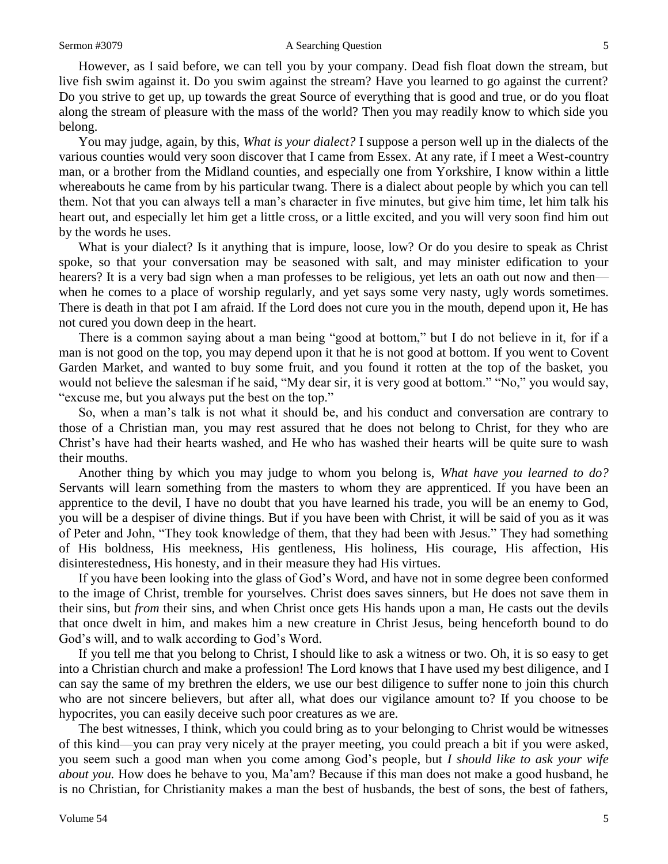#### Sermon #3079 **A Searching Question** 5

However, as I said before, we can tell you by your company. Dead fish float down the stream, but live fish swim against it. Do you swim against the stream? Have you learned to go against the current? Do you strive to get up, up towards the great Source of everything that is good and true, or do you float along the stream of pleasure with the mass of the world? Then you may readily know to which side you belong.

You may judge, again, by this, *What is your dialect?* I suppose a person well up in the dialects of the various counties would very soon discover that I came from Essex. At any rate, if I meet a West-country man, or a brother from the Midland counties, and especially one from Yorkshire, I know within a little whereabouts he came from by his particular twang. There is a dialect about people by which you can tell them. Not that you can always tell a man's character in five minutes, but give him time, let him talk his heart out, and especially let him get a little cross, or a little excited, and you will very soon find him out by the words he uses.

What is your dialect? Is it anything that is impure, loose, low? Or do you desire to speak as Christ spoke, so that your conversation may be seasoned with salt, and may minister edification to your hearers? It is a very bad sign when a man professes to be religious, yet lets an oath out now and then when he comes to a place of worship regularly, and yet says some very nasty, ugly words sometimes. There is death in that pot I am afraid. If the Lord does not cure you in the mouth, depend upon it, He has not cured you down deep in the heart.

There is a common saying about a man being "good at bottom," but I do not believe in it, for if a man is not good on the top, you may depend upon it that he is not good at bottom. If you went to Covent Garden Market, and wanted to buy some fruit, and you found it rotten at the top of the basket, you would not believe the salesman if he said, "My dear sir, it is very good at bottom." "No," you would say, "excuse me, but you always put the best on the top."

So, when a man's talk is not what it should be, and his conduct and conversation are contrary to those of a Christian man, you may rest assured that he does not belong to Christ, for they who are Christ's have had their hearts washed, and He who has washed their hearts will be quite sure to wash their mouths.

Another thing by which you may judge to whom you belong is, *What have you learned to do?*  Servants will learn something from the masters to whom they are apprenticed. If you have been an apprentice to the devil, I have no doubt that you have learned his trade, you will be an enemy to God, you will be a despiser of divine things. But if you have been with Christ, it will be said of you as it was of Peter and John, "They took knowledge of them, that they had been with Jesus." They had something of His boldness, His meekness, His gentleness, His holiness, His courage, His affection, His disinterestedness, His honesty, and in their measure they had His virtues.

If you have been looking into the glass of God's Word, and have not in some degree been conformed to the image of Christ, tremble for yourselves. Christ does saves sinners, but He does not save them in their sins, but *from* their sins, and when Christ once gets His hands upon a man, He casts out the devils that once dwelt in him, and makes him a new creature in Christ Jesus, being henceforth bound to do God's will, and to walk according to God's Word.

If you tell me that you belong to Christ, I should like to ask a witness or two. Oh, it is so easy to get into a Christian church and make a profession! The Lord knows that I have used my best diligence, and I can say the same of my brethren the elders, we use our best diligence to suffer none to join this church who are not sincere believers, but after all, what does our vigilance amount to? If you choose to be hypocrites, you can easily deceive such poor creatures as we are.

The best witnesses, I think, which you could bring as to your belonging to Christ would be witnesses of this kind—you can pray very nicely at the prayer meeting, you could preach a bit if you were asked, you seem such a good man when you come among God's people, but *I should like to ask your wife about you.* How does he behave to you, Ma'am? Because if this man does not make a good husband, he is no Christian, for Christianity makes a man the best of husbands, the best of sons, the best of fathers,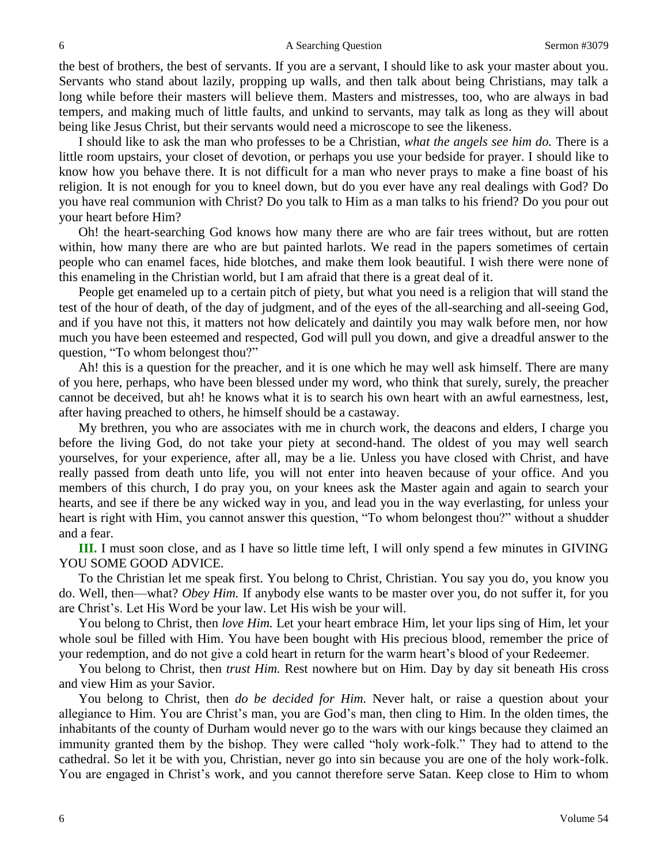the best of brothers, the best of servants. If you are a servant, I should like to ask your master about you. Servants who stand about lazily, propping up walls, and then talk about being Christians, may talk a long while before their masters will believe them. Masters and mistresses, too, who are always in bad tempers, and making much of little faults, and unkind to servants, may talk as long as they will about being like Jesus Christ, but their servants would need a microscope to see the likeness.

I should like to ask the man who professes to be a Christian, *what the angels see him do.* There is a little room upstairs, your closet of devotion, or perhaps you use your bedside for prayer. I should like to know how you behave there. It is not difficult for a man who never prays to make a fine boast of his religion. It is not enough for you to kneel down, but do you ever have any real dealings with God? Do you have real communion with Christ? Do you talk to Him as a man talks to his friend? Do you pour out your heart before Him?

Oh! the heart-searching God knows how many there are who are fair trees without, but are rotten within, how many there are who are but painted harlots. We read in the papers sometimes of certain people who can enamel faces, hide blotches, and make them look beautiful. I wish there were none of this enameling in the Christian world, but I am afraid that there is a great deal of it.

People get enameled up to a certain pitch of piety, but what you need is a religion that will stand the test of the hour of death, of the day of judgment, and of the eyes of the all-searching and all-seeing God, and if you have not this, it matters not how delicately and daintily you may walk before men, nor how much you have been esteemed and respected, God will pull you down, and give a dreadful answer to the question, "To whom belongest thou?"

Ah! this is a question for the preacher, and it is one which he may well ask himself. There are many of you here, perhaps, who have been blessed under my word, who think that surely, surely, the preacher cannot be deceived, but ah! he knows what it is to search his own heart with an awful earnestness, lest, after having preached to others, he himself should be a castaway.

My brethren, you who are associates with me in church work, the deacons and elders, I charge you before the living God, do not take your piety at second-hand. The oldest of you may well search yourselves, for your experience, after all, may be a lie. Unless you have closed with Christ, and have really passed from death unto life, you will not enter into heaven because of your office. And you members of this church, I do pray you, on your knees ask the Master again and again to search your hearts, and see if there be any wicked way in you, and lead you in the way everlasting, for unless your heart is right with Him, you cannot answer this question, "To whom belongest thou?" without a shudder and a fear.

**III.** I must soon close, and as I have so little time left, I will only spend a few minutes in GIVING YOU SOME GOOD ADVICE.

To the Christian let me speak first. You belong to Christ, Christian. You say you do, you know you do. Well, then—what? *Obey Him.* If anybody else wants to be master over you, do not suffer it, for you are Christ's. Let His Word be your law. Let His wish be your will.

You belong to Christ, then *love Him.* Let your heart embrace Him, let your lips sing of Him, let your whole soul be filled with Him. You have been bought with His precious blood, remember the price of your redemption, and do not give a cold heart in return for the warm heart's blood of your Redeemer.

You belong to Christ, then *trust Him.* Rest nowhere but on Him. Day by day sit beneath His cross and view Him as your Savior.

You belong to Christ, then *do be decided for Him.* Never halt, or raise a question about your allegiance to Him. You are Christ's man, you are God's man, then cling to Him. In the olden times, the inhabitants of the county of Durham would never go to the wars with our kings because they claimed an immunity granted them by the bishop. They were called "holy work-folk." They had to attend to the cathedral. So let it be with you, Christian, never go into sin because you are one of the holy work-folk. You are engaged in Christ's work, and you cannot therefore serve Satan. Keep close to Him to whom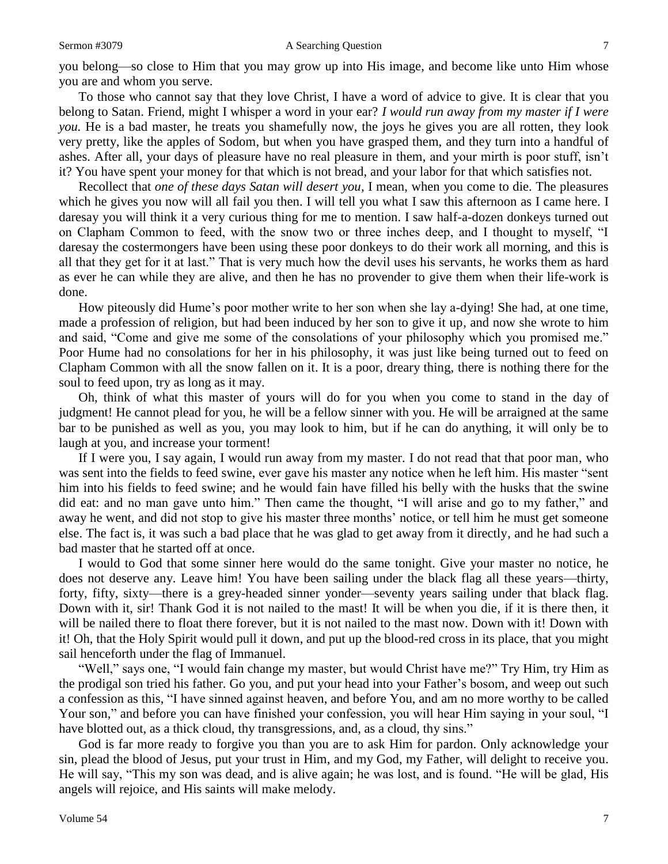#### Sermon #3079 **A Searching Question** 7

you belong—so close to Him that you may grow up into His image, and become like unto Him whose you are and whom you serve.

To those who cannot say that they love Christ, I have a word of advice to give. It is clear that you belong to Satan. Friend, might I whisper a word in your ear? *I would run away from my master if I were you.* He is a bad master, he treats you shamefully now, the joys he gives you are all rotten, they look very pretty, like the apples of Sodom, but when you have grasped them, and they turn into a handful of ashes. After all, your days of pleasure have no real pleasure in them, and your mirth is poor stuff, isn't it? You have spent your money for that which is not bread, and your labor for that which satisfies not.

Recollect that *one of these days Satan will desert you,* I mean, when you come to die. The pleasures which he gives you now will all fail you then. I will tell you what I saw this afternoon as I came here. I daresay you will think it a very curious thing for me to mention. I saw half-a-dozen donkeys turned out on Clapham Common to feed, with the snow two or three inches deep, and I thought to myself, "I daresay the costermongers have been using these poor donkeys to do their work all morning, and this is all that they get for it at last." That is very much how the devil uses his servants, he works them as hard as ever he can while they are alive, and then he has no provender to give them when their life-work is done.

How piteously did Hume's poor mother write to her son when she lay a-dying! She had, at one time, made a profession of religion, but had been induced by her son to give it up, and now she wrote to him and said, "Come and give me some of the consolations of your philosophy which you promised me." Poor Hume had no consolations for her in his philosophy, it was just like being turned out to feed on Clapham Common with all the snow fallen on it. It is a poor, dreary thing, there is nothing there for the soul to feed upon, try as long as it may.

Oh, think of what this master of yours will do for you when you come to stand in the day of judgment! He cannot plead for you, he will be a fellow sinner with you. He will be arraigned at the same bar to be punished as well as you, you may look to him, but if he can do anything, it will only be to laugh at you, and increase your torment!

If I were you, I say again, I would run away from my master. I do not read that that poor man, who was sent into the fields to feed swine, ever gave his master any notice when he left him. His master "sent him into his fields to feed swine; and he would fain have filled his belly with the husks that the swine did eat: and no man gave unto him." Then came the thought, "I will arise and go to my father," and away he went, and did not stop to give his master three months' notice, or tell him he must get someone else. The fact is, it was such a bad place that he was glad to get away from it directly, and he had such a bad master that he started off at once.

I would to God that some sinner here would do the same tonight. Give your master no notice, he does not deserve any. Leave him! You have been sailing under the black flag all these years—thirty, forty, fifty, sixty—there is a grey-headed sinner yonder—seventy years sailing under that black flag. Down with it, sir! Thank God it is not nailed to the mast! It will be when you die, if it is there then, it will be nailed there to float there forever, but it is not nailed to the mast now. Down with it! Down with it! Oh, that the Holy Spirit would pull it down, and put up the blood-red cross in its place, that you might sail henceforth under the flag of Immanuel.

"Well," says one, "I would fain change my master, but would Christ have me?" Try Him, try Him as the prodigal son tried his father. Go you, and put your head into your Father's bosom, and weep out such a confession as this, "I have sinned against heaven, and before You, and am no more worthy to be called Your son," and before you can have finished your confession, you will hear Him saying in your soul, "I have blotted out, as a thick cloud, thy transgressions, and, as a cloud, thy sins."

God is far more ready to forgive you than you are to ask Him for pardon. Only acknowledge your sin, plead the blood of Jesus, put your trust in Him, and my God, my Father, will delight to receive you. He will say, "This my son was dead, and is alive again; he was lost, and is found. "He will be glad, His angels will rejoice, and His saints will make melody.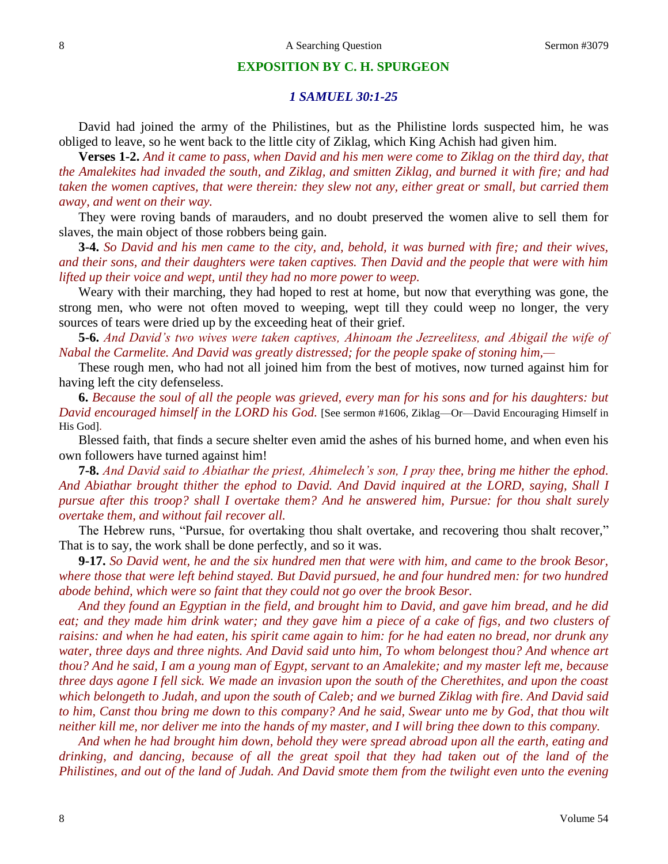# **EXPOSITION BY C. H. SPURGEON**

# *1 SAMUEL 30:1-25*

David had joined the army of the Philistines, but as the Philistine lords suspected him, he was obliged to leave, so he went back to the little city of Ziklag, which King Achish had given him.

**Verses 1-2.** *And it came to pass, when David and his men were come to Ziklag on the third day, that the Amalekites had invaded the south, and Ziklag, and smitten Ziklag, and burned it with fire; and had taken the women captives, that were therein: they slew not any, either great or small, but carried them away, and went on their way.*

They were roving bands of marauders, and no doubt preserved the women alive to sell them for slaves, the main object of those robbers being gain.

**3-4.** *So David and his men came to the city, and, behold, it was burned with fire; and their wives, and their sons, and their daughters were taken captives. Then David and the people that were with him lifted up their voice and wept, until they had no more power to weep.*

Weary with their marching, they had hoped to rest at home, but now that everything was gone, the strong men, who were not often moved to weeping, wept till they could weep no longer, the very sources of tears were dried up by the exceeding heat of their grief.

**5-6.** *And David's two wives were taken captives, Ahinoam the Jezreelitess, and Abigail the wife of Nabal the Carmelite. And David was greatly distressed; for the people spake of stoning him,—*

These rough men, who had not all joined him from the best of motives, now turned against him for having left the city defenseless.

**6.** *Because the soul of all the people was grieved, every man for his sons and for his daughters: but David encouraged himself in the LORD his God.* [See sermon #1606, Ziklag—Or—David Encouraging Himself in His God].

Blessed faith, that finds a secure shelter even amid the ashes of his burned home, and when even his own followers have turned against him!

**7-8.** *And David said to Abiathar the priest, Ahimelech's son, I pray thee, bring me hither the ephod. And Abiathar brought thither the ephod to David. And David inquired at the LORD, saying, Shall I pursue after this troop? shall I overtake them? And he answered him, Pursue: for thou shalt surely overtake them, and without fail recover all.*

The Hebrew runs, "Pursue, for overtaking thou shalt overtake, and recovering thou shalt recover," That is to say, the work shall be done perfectly, and so it was.

**9-17.** *So David went, he and the six hundred men that were with him, and came to the brook Besor,*  where those that were left behind stayed. But David pursued, he and four hundred men: for two hundred *abode behind, which were so faint that they could not go over the brook Besor.* 

*And they found an Egyptian in the field, and brought him to David, and gave him bread, and he did eat; and they made him drink water; and they gave him a piece of a cake of figs, and two clusters of raisins: and when he had eaten, his spirit came again to him: for he had eaten no bread, nor drunk any water, three days and three nights. And David said unto him, To whom belongest thou? And whence art thou? And he said, I am a young man of Egypt, servant to an Amalekite; and my master left me, because three days agone I fell sick. We made an invasion upon the south of the Cherethites, and upon the coast which belongeth to Judah, and upon the south of Caleb; and we burned Ziklag with fire. And David said to him, Canst thou bring me down to this company? And he said, Swear unto me by God, that thou wilt neither kill me, nor deliver me into the hands of my master, and I will bring thee down to this company.* 

*And when he had brought him down, behold they were spread abroad upon all the earth, eating and drinking, and dancing, because of all the great spoil that they had taken out of the land of the Philistines, and out of the land of Judah. And David smote them from the twilight even unto the evening*